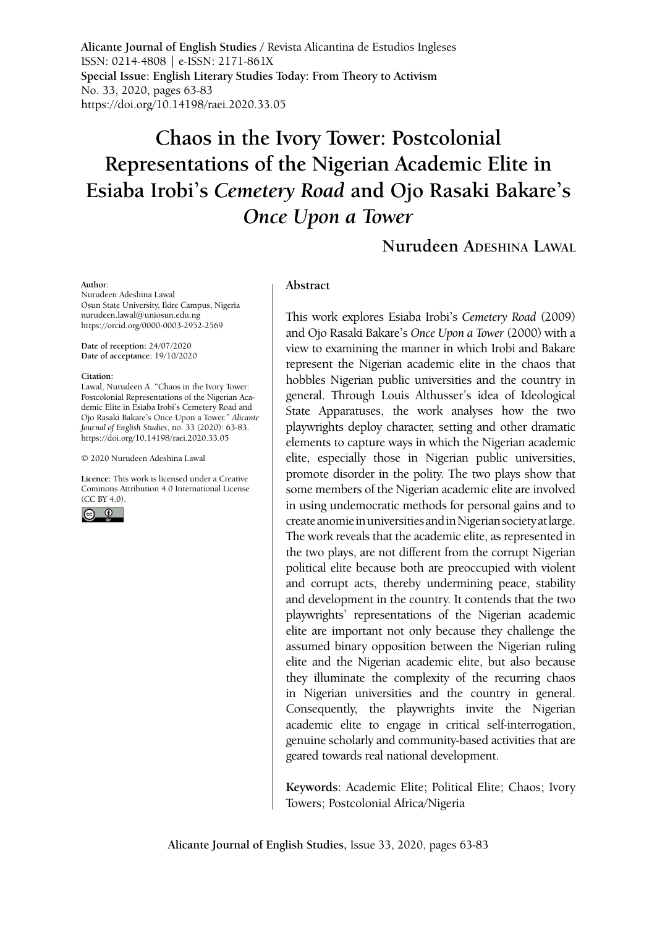**Alicante Journal of English Studies /** Revista Alicantina de Estudios Ingleses ISSN: 0214-4808 | e-ISSN: 2171-861X **Special Issue: English Literary Studies Today: From Theory to Activism** No. 33, 2020, pages 63-83 <https://doi.org/10.14198/raei.2020.33.05>

# **Chaos in the Ivory Tower: Postcolonial Representations of the Nigerian Academic Elite in Esiaba Irobi's** *Cemetery Road* **and Ojo Rasaki Bakare's**  *Once Upon a Tower*

## **Nurudeen Adeshina Lawal**

#### **Author:**

Nurudeen Adeshina Lawal Osun State University, Ikire Campus, Nigeria nurudeen.lawal@uniosun.edu.ng <https://orcid.org/0000-0003-2952-2569>

**Date of reception:** 24/07/2020 **Date of acceptance:** 19/10/2020

#### **Citation:**

Lawal, Nurudeen A. "Chaos in the Ivory Tower: Postcolonial Representations of the Nigerian Academic Elite in Esiaba Irobi's Cemetery Road and Ojo Rasaki Bakare's Once Upon a Tower." *Alicante Journal of English Studies*, no. 33 (2020): 63-83. [https://doi.org/10.14198/raei.2020.33.05](https://doi.org/10.14198/raei.2020.33.05 )

© 2020 Nurudeen Adeshina Lawal

**Licence:** [This work is licensed under a Creative](https://creativecommons.org/licenses/by/4.0/)  [Commons Attribution 4.0 International License](https://creativecommons.org/licenses/by/4.0/)  [\(CC BY 4.0\).](https://creativecommons.org/licenses/by/4.0/)



#### **Abstract**

This work explores Esiaba Irobi's *Cemetery Road* (2009) and Ojo Rasaki Bakare's *Once Upon a Tower* (2000) with a view to examining the manner in which Irobi and Bakare represent the Nigerian academic elite in the chaos that hobbles Nigerian public universities and the country in general. Through Louis Althusser's idea of Ideological State Apparatuses, the work analyses how the two playwrights deploy character, setting and other dramatic elements to capture ways in which the Nigerian academic elite, especially those in Nigerian public universities, promote disorder in the polity. The two plays show that some members of the Nigerian academic elite are involved in using undemocratic methods for personal gains and to create anomie in universities and in Nigerian society at large. The work reveals that the academic elite, as represented in the two plays, are not different from the corrupt Nigerian political elite because both are preoccupied with violent and corrupt acts, thereby undermining peace, stability and development in the country. It contends that the two playwrights' representations of the Nigerian academic elite are important not only because they challenge the assumed binary opposition between the Nigerian ruling elite and the Nigerian academic elite, but also because they illuminate the complexity of the recurring chaos in Nigerian universities and the country in general. Consequently, the playwrights invite the Nigerian academic elite to engage in critical self-interrogation, genuine scholarly and community-based activities that are geared towards real national development.

**Keywords**: Academic Elite; Political Elite; Chaos; Ivory Towers; Postcolonial Africa/Nigeria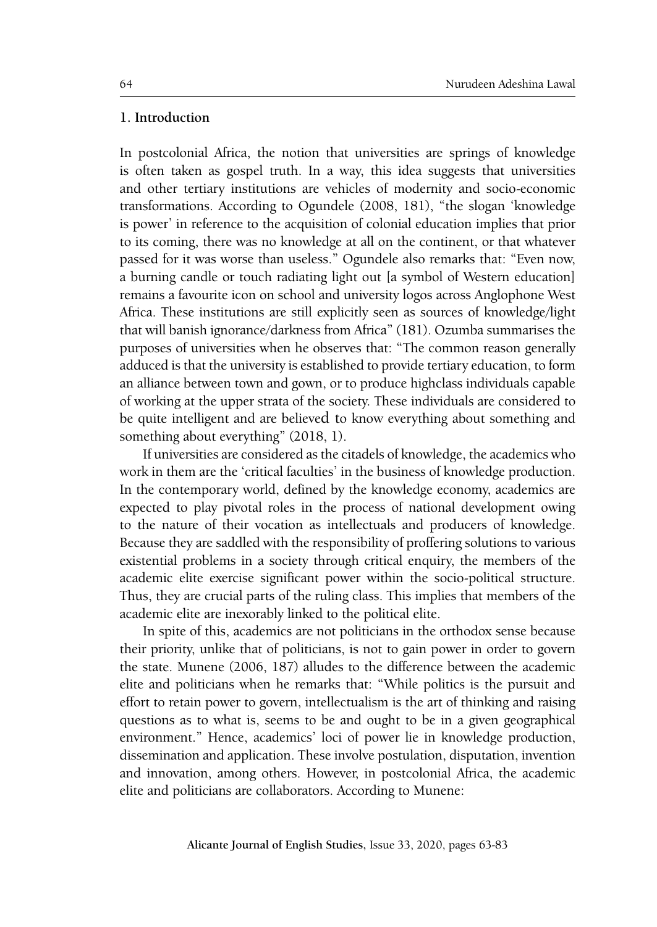### **1. Introduction**

In postcolonial Africa, the notion that universities are springs of knowledge is often taken as gospel truth. In a way, this idea suggests that universities and other tertiary institutions are vehicles of modernity and socio-economic transformations. According to Ogundele (2008, 181), "the slogan 'knowledge is power' in reference to the acquisition of colonial education implies that prior to its coming, there was no knowledge at all on the continent, or that whatever passed for it was worse than useless." Ogundele also remarks that: "Even now, a burning candle or touch radiating light out [a symbol of Western education] remains a favourite icon on school and university logos across Anglophone West Africa. These institutions are still explicitly seen as sources of knowledge/light that will banish ignorance/darkness from Africa" (181). Ozumba summarises the purposes of universities when he observes that: "The common reason generally adduced is that the university is established to provide tertiary education, to form an alliance between town and gown, or to produce highclass individuals capable of working at the upper strata of the society. These individuals are considered to be quite intelligent and are believed to know everything about something and something about everything" (2018, 1).

If universities are considered as the citadels of knowledge, the academics who work in them are the 'critical faculties' in the business of knowledge production. In the contemporary world, defined by the knowledge economy, academics are expected to play pivotal roles in the process of national development owing to the nature of their vocation as intellectuals and producers of knowledge. Because they are saddled with the responsibility of proffering solutions to various existential problems in a society through critical enquiry, the members of the academic elite exercise significant power within the socio-political structure. Thus, they are crucial parts of the ruling class. This implies that members of the academic elite are inexorably linked to the political elite.

In spite of this, academics are not politicians in the orthodox sense because their priority, unlike that of politicians, is not to gain power in order to govern the state. Munene (2006, 187) alludes to the difference between the academic elite and politicians when he remarks that: "While politics is the pursuit and effort to retain power to govern, intellectualism is the art of thinking and raising questions as to what is, seems to be and ought to be in a given geographical environment." Hence, academics' loci of power lie in knowledge production, dissemination and application. These involve postulation, disputation, invention and innovation, among others. However, in postcolonial Africa, the academic elite and politicians are collaborators. According to Munene: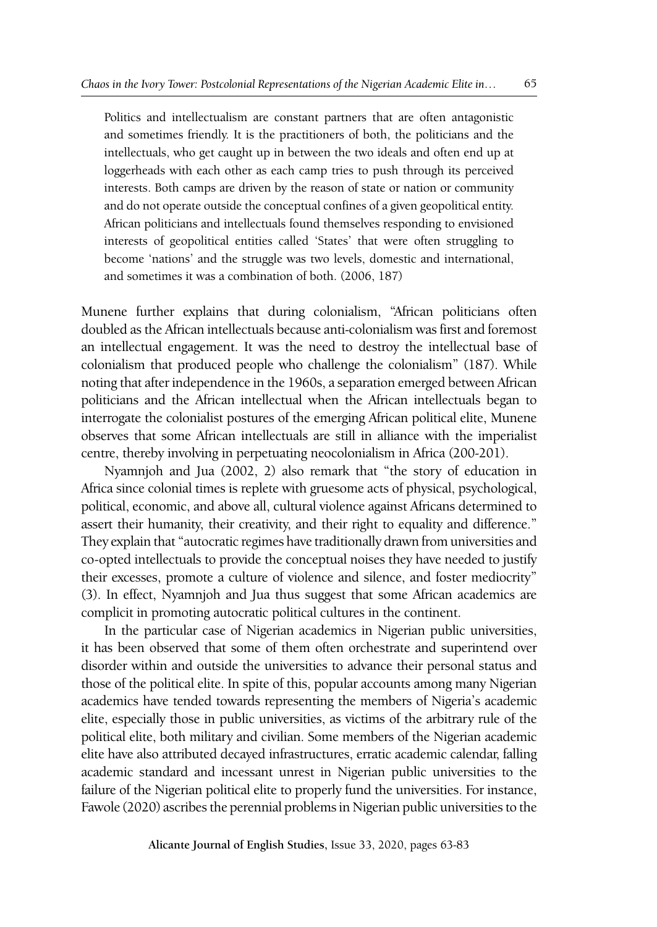Politics and intellectualism are constant partners that are often antagonistic and sometimes friendly. It is the practitioners of both, the politicians and the intellectuals, who get caught up in between the two ideals and often end up at loggerheads with each other as each camp tries to push through its perceived interests. Both camps are driven by the reason of state or nation or community and do not operate outside the conceptual confines of a given geopolitical entity. African politicians and intellectuals found themselves responding to envisioned interests of geopolitical entities called 'States' that were often struggling to become 'nations' and the struggle was two levels, domestic and international, and sometimes it was a combination of both. (2006, 187)

Munene further explains that during colonialism, "African politicians often doubled as the African intellectuals because anti-colonialism was first and foremost an intellectual engagement. It was the need to destroy the intellectual base of colonialism that produced people who challenge the colonialism" (187). While noting that after independence in the 1960s, a separation emerged between African politicians and the African intellectual when the African intellectuals began to interrogate the colonialist postures of the emerging African political elite, Munene observes that some African intellectuals are still in alliance with the imperialist centre, thereby involving in perpetuating neocolonialism in Africa (200-201).

Nyamnjoh and Jua (2002, 2) also remark that "the story of education in Africa since colonial times is replete with gruesome acts of physical, psychological, political, economic, and above all, cultural violence against Africans determined to assert their humanity, their creativity, and their right to equality and difference." They explain that "autocratic regimes have traditionally drawn from universities and co-opted intellectuals to provide the conceptual noises they have needed to justify their excesses, promote a culture of violence and silence, and foster mediocrity" (3). In effect, Nyamnjoh and Jua thus suggest that some African academics are complicit in promoting autocratic political cultures in the continent.

In the particular case of Nigerian academics in Nigerian public universities, it has been observed that some of them often orchestrate and superintend over disorder within and outside the universities to advance their personal status and those of the political elite. In spite of this, popular accounts among many Nigerian academics have tended towards representing the members of Nigeria's academic elite, especially those in public universities, as victims of the arbitrary rule of the political elite, both military and civilian. Some members of the Nigerian academic elite have also attributed decayed infrastructures, erratic academic calendar, falling academic standard and incessant unrest in Nigerian public universities to the failure of the Nigerian political elite to properly fund the universities. For instance, Fawole (2020) ascribes the perennial problems in Nigerian public universities to the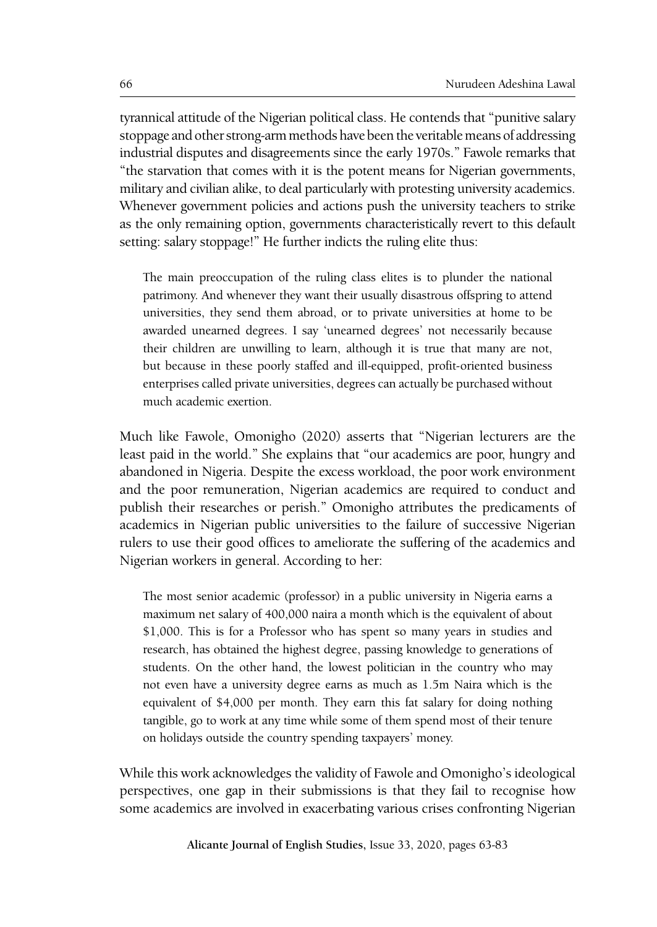tyrannical attitude of the Nigerian political class. He contends that "punitive salary stoppage and other strong-arm methods have been the veritable means of addressing industrial disputes and disagreements since the early 1970s." Fawole remarks that "the starvation that comes with it is the potent means for Nigerian governments, military and civilian alike, to deal particularly with protesting university academics. Whenever government policies and actions push the university teachers to strike as the only remaining option, governments characteristically revert to this default setting: salary stoppage!" He further indicts the ruling elite thus:

The main preoccupation of the ruling class elites is to plunder the national patrimony. And whenever they want their usually disastrous offspring to attend universities, they send them abroad, or to private universities at home to be awarded unearned degrees. I say 'unearned degrees' not necessarily because their children are unwilling to learn, although it is true that many are not, but because in these poorly staffed and ill-equipped, profit-oriented business enterprises called private universities, degrees can actually be purchased without much academic exertion.

Much like Fawole, Omonigho (2020) asserts that "Nigerian lecturers are the least paid in the world." She explains that "our academics are poor, hungry and abandoned in Nigeria. Despite the excess workload, the poor work environment and the poor remuneration, Nigerian academics are required to conduct and publish their researches or perish." Omonigho attributes the predicaments of academics in Nigerian public universities to the failure of successive Nigerian rulers to use their good offices to ameliorate the suffering of the academics and Nigerian workers in general. According to her:

The most senior academic (professor) in a public university in Nigeria earns a maximum net salary of 400,000 naira a month which is the equivalent of about \$1,000. This is for a Professor who has spent so many years in studies and research, has obtained the highest degree, passing knowledge to generations of students. On the other hand, the lowest politician in the country who may not even have a university degree earns as much as 1.5m Naira which is the equivalent of \$4,000 per month. They earn this fat salary for doing nothing tangible, go to work at any time while some of them spend most of their tenure on holidays outside the country spending taxpayers' money.

While this work acknowledges the validity of Fawole and Omonigho's ideological perspectives, one gap in their submissions is that they fail to recognise how some academics are involved in exacerbating various crises confronting Nigerian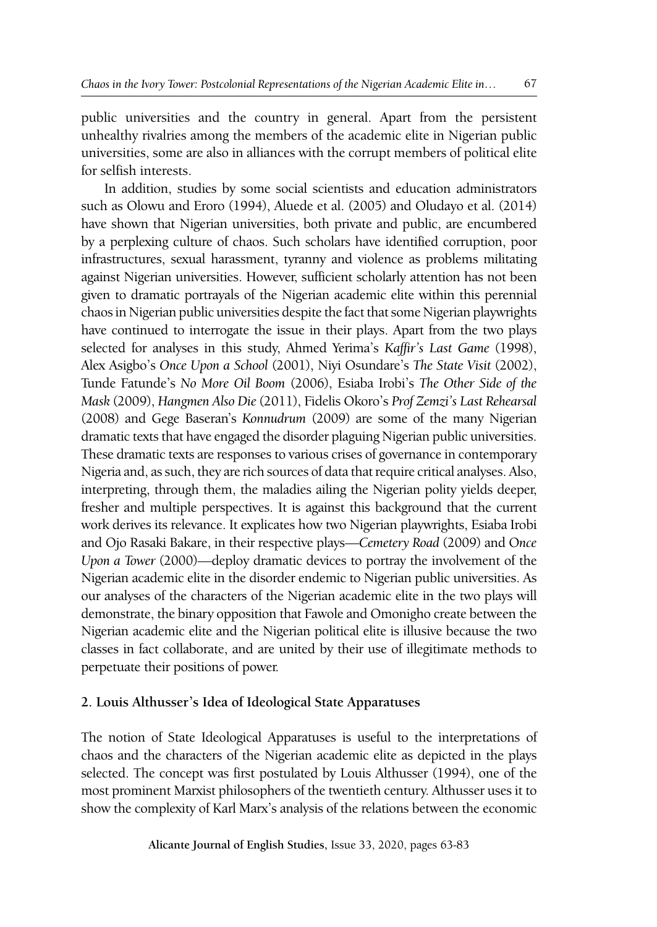public universities and the country in general. Apart from the persistent unhealthy rivalries among the members of the academic elite in Nigerian public universities, some are also in alliances with the corrupt members of political elite for selfish interests.

In addition, studies by some social scientists and education administrators such as Olowu and Eroro (1994), Aluede et al. (2005) and Oludayo et al. (2014) have shown that Nigerian universities, both private and public, are encumbered by a perplexing culture of chaos. Such scholars have identified corruption, poor infrastructures, sexual harassment, tyranny and violence as problems militating against Nigerian universities. However, sufficient scholarly attention has not been given to dramatic portrayals of the Nigerian academic elite within this perennial chaos in Nigerian public universities despite the fact that some Nigerian playwrights have continued to interrogate the issue in their plays. Apart from the two plays selected for analyses in this study, Ahmed Yerima's *Kaffir's Last Game* (1998), Alex Asigbo's *Once Upon a School* (2001), Niyi Osundare's *The State Visit* (2002), Tunde Fatunde's *No More Oil Boom* (2006), Esiaba Irobi's *The Other Side of the Mask* (2009), *Hangmen Also Die* (2011), Fidelis Okoro's *Prof Zemzi's Last Rehearsal* (2008) and Gege Baseran's *Konnudrum* (2009) are some of the many Nigerian dramatic texts that have engaged the disorder plaguing Nigerian public universities. These dramatic texts are responses to various crises of governance in contemporary Nigeria and, as such, they are rich sources of data that require critical analyses. Also, interpreting, through them, the maladies ailing the Nigerian polity yields deeper, fresher and multiple perspectives. It is against this background that the current work derives its relevance. It explicates how two Nigerian playwrights, Esiaba Irobi and Ojo Rasaki Bakare, in their respective plays—*Cemetery Road* (2009) and O*nce Upon a Tower* (2000)—deploy dramatic devices to portray the involvement of the Nigerian academic elite in the disorder endemic to Nigerian public universities. As our analyses of the characters of the Nigerian academic elite in the two plays will demonstrate, the binary opposition that Fawole and Omonigho create between the Nigerian academic elite and the Nigerian political elite is illusive because the two classes in fact collaborate, and are united by their use of illegitimate methods to perpetuate their positions of power.

#### **2. Louis Althusser's Idea of Ideological State Apparatuses**

The notion of State Ideological Apparatuses is useful to the interpretations of chaos and the characters of the Nigerian academic elite as depicted in the plays selected. The concept was first postulated by Louis Althusser (1994), one of the most prominent Marxist philosophers of the twentieth century. Althusser uses it to show the complexity of Karl Marx's analysis of the relations between the economic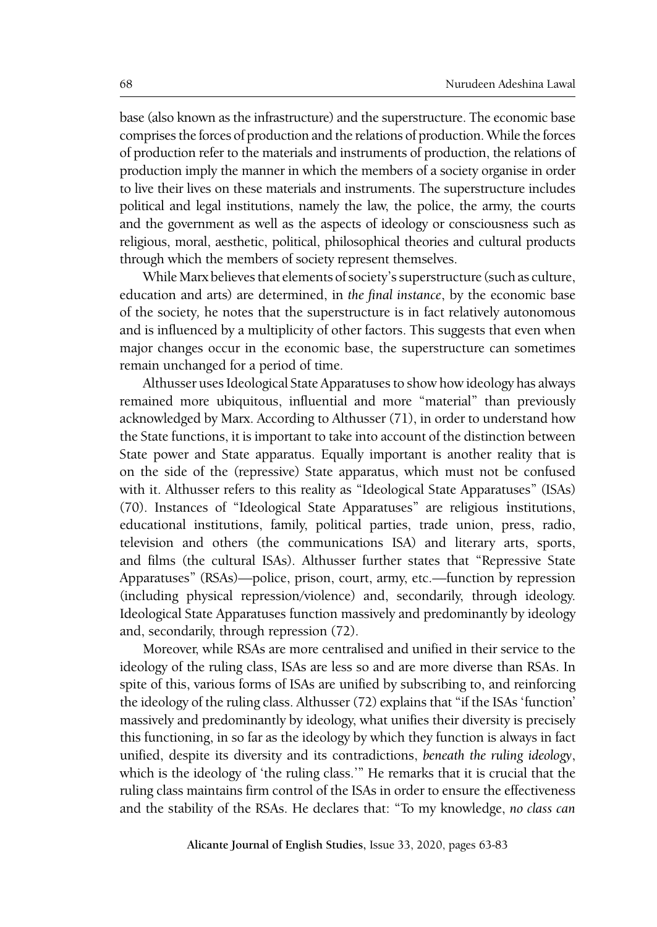base (also known as the infrastructure) and the superstructure. The economic base comprises the forces of production and the relations of production. While the forces of production refer to the materials and instruments of production, the relations of production imply the manner in which the members of a society organise in order to live their lives on these materials and instruments. The superstructure includes political and legal institutions, namely the law, the police, the army, the courts and the government as well as the aspects of ideology or consciousness such as religious, moral, aesthetic, political, philosophical theories and cultural products through which the members of society represent themselves.

While Marx believes that elements of society's superstructure (such as culture, education and arts) are determined, in *the final instance*, by the economic base of the society*,* he notes that the superstructure is in fact relatively autonomous and is influenced by a multiplicity of other factors. This suggests that even when major changes occur in the economic base, the superstructure can sometimes remain unchanged for a period of time.

Althusser uses Ideological State Apparatuses to show how ideology has always remained more ubiquitous, influential and more "material" than previously acknowledged by Marx. According to Althusser (71), in order to understand how the State functions, it is important to take into account of the distinction between State power and State apparatus. Equally important is another reality that is on the side of the (repressive) State apparatus, which must not be confused with it. Althusser refers to this reality as "Ideological State Apparatuses" (ISAs) (70). Instances of "Ideological State Apparatuses" are religious institutions, educational institutions, family, political parties, trade union, press, radio, television and others (the communications ISA) and literary arts, sports, and films (the cultural ISAs). Althusser further states that "Repressive State Apparatuses" (RSAs)—police, prison, court, army, etc.—function by repression (including physical repression/violence) and, secondarily, through ideology. Ideological State Apparatuses function massively and predominantly by ideology and, secondarily, through repression (72).

Moreover, while RSAs are more centralised and unified in their service to the ideology of the ruling class, ISAs are less so and are more diverse than RSAs. In spite of this, various forms of ISAs are unified by subscribing to, and reinforcing the ideology of the ruling class. Althusser (72) explains that "if the ISAs 'function' massively and predominantly by ideology, what unifies their diversity is precisely this functioning, in so far as the ideology by which they function is always in fact unified, despite its diversity and its contradictions, *beneath the ruling ideology*, which is the ideology of 'the ruling class.'" He remarks that it is crucial that the ruling class maintains firm control of the ISAs in order to ensure the effectiveness and the stability of the RSAs. He declares that: "To my knowledge, *no class can*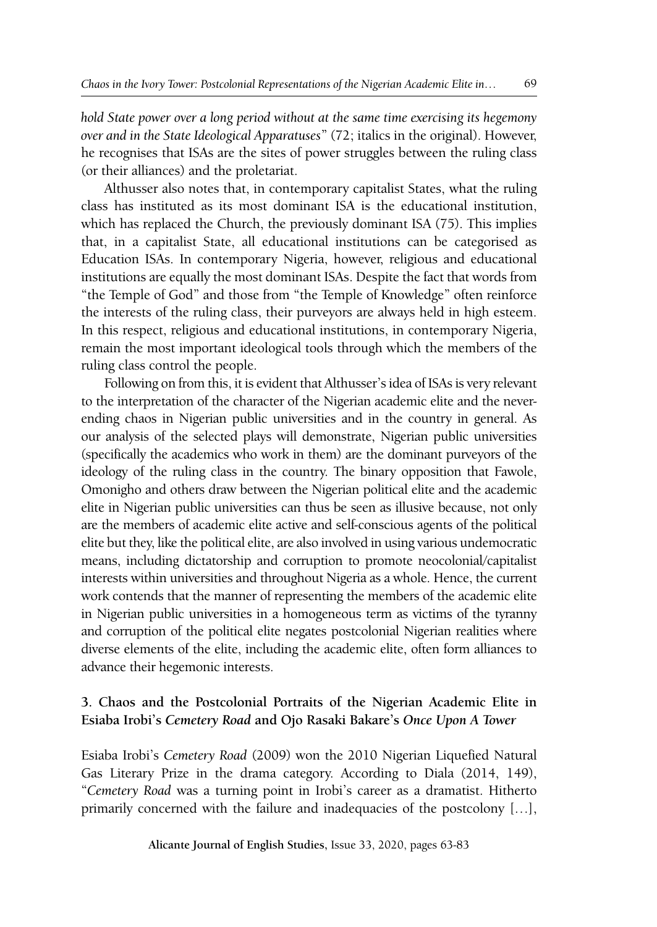*hold State power over a long period without at the same time exercising its hegemony over and in the State Ideological Apparatuses*" (72; italics in the original). However, he recognises that ISAs are the sites of power struggles between the ruling class (or their alliances) and the proletariat.

Althusser also notes that, in contemporary capitalist States, what the ruling class has instituted as its most dominant ISA is the educational institution, which has replaced the Church, the previously dominant ISA (75). This implies that, in a capitalist State, all educational institutions can be categorised as Education ISAs. In contemporary Nigeria, however, religious and educational institutions are equally the most dominant ISAs. Despite the fact that words from "the Temple of God" and those from "the Temple of Knowledge" often reinforce the interests of the ruling class, their purveyors are always held in high esteem. In this respect, religious and educational institutions, in contemporary Nigeria, remain the most important ideological tools through which the members of the ruling class control the people.

Following on from this, it is evident that Althusser's idea of ISAs is very relevant to the interpretation of the character of the Nigerian academic elite and the neverending chaos in Nigerian public universities and in the country in general. As our analysis of the selected plays will demonstrate, Nigerian public universities (specifically the academics who work in them) are the dominant purveyors of the ideology of the ruling class in the country. The binary opposition that Fawole, Omonigho and others draw between the Nigerian political elite and the academic elite in Nigerian public universities can thus be seen as illusive because, not only are the members of academic elite active and self-conscious agents of the political elite but they, like the political elite, are also involved in using various undemocratic means, including dictatorship and corruption to promote neocolonial/capitalist interests within universities and throughout Nigeria as a whole. Hence, the current work contends that the manner of representing the members of the academic elite in Nigerian public universities in a homogeneous term as victims of the tyranny and corruption of the political elite negates postcolonial Nigerian realities where diverse elements of the elite, including the academic elite, often form alliances to advance their hegemonic interests.

## **3. Chaos and the Postcolonial Portraits of the Nigerian Academic Elite in Esiaba Irobi's** *Cemetery Road* **and Ojo Rasaki Bakare's** *Once Upon A Tower*

Esiaba Irobi's *Cemetery Road* (2009) won the 2010 Nigerian Liquefied Natural Gas Literary Prize in the drama category. According to Diala (2014, 149), "*Cemetery Road* was a turning point in Irobi's career as a dramatist. Hitherto primarily concerned with the failure and inadequacies of the postcolony […],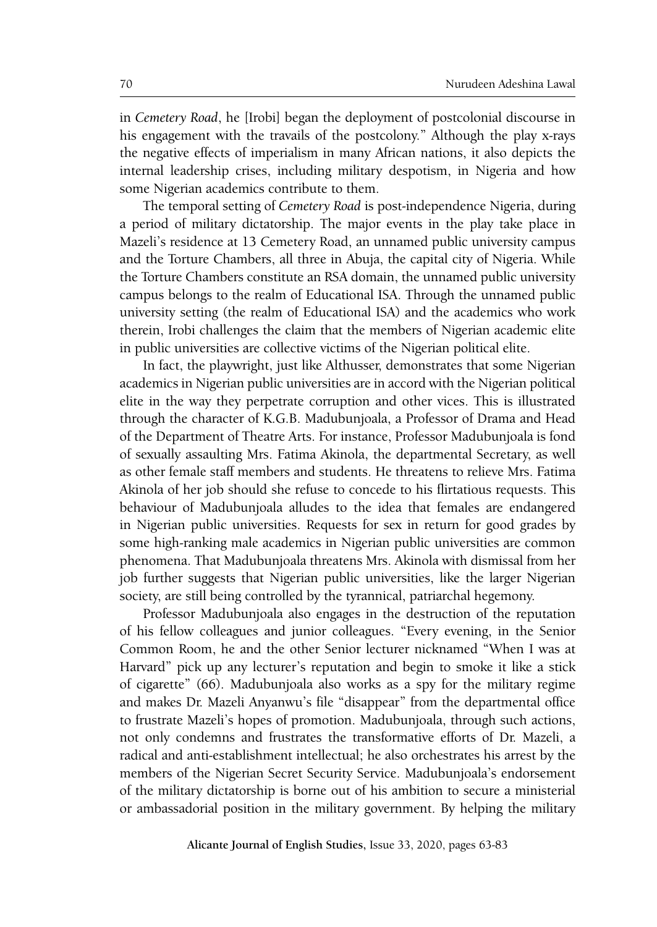in *Cemetery Road*, he [Irobi] began the deployment of postcolonial discourse in his engagement with the travails of the postcolony." Although the play x-rays the negative effects of imperialism in many African nations, it also depicts the internal leadership crises, including military despotism, in Nigeria and how some Nigerian academics contribute to them.

The temporal setting of *Cemetery Road* is post-independence Nigeria, during a period of military dictatorship. The major events in the play take place in Mazeli's residence at 13 Cemetery Road, an unnamed public university campus and the Torture Chambers, all three in Abuja, the capital city of Nigeria. While the Torture Chambers constitute an RSA domain, the unnamed public university campus belongs to the realm of Educational ISA. Through the unnamed public university setting (the realm of Educational ISA) and the academics who work therein, Irobi challenges the claim that the members of Nigerian academic elite in public universities are collective victims of the Nigerian political elite.

In fact, the playwright, just like Althusser, demonstrates that some Nigerian academics in Nigerian public universities are in accord with the Nigerian political elite in the way they perpetrate corruption and other vices. This is illustrated through the character of K.G.B. Madubunjoala, a Professor of Drama and Head of the Department of Theatre Arts. For instance, Professor Madubunjoala is fond of sexually assaulting Mrs. Fatima Akinola, the departmental Secretary, as well as other female staff members and students. He threatens to relieve Mrs. Fatima Akinola of her job should she refuse to concede to his flirtatious requests. This behaviour of Madubunjoala alludes to the idea that females are endangered in Nigerian public universities. Requests for sex in return for good grades by some high-ranking male academics in Nigerian public universities are common phenomena. That Madubunjoala threatens Mrs. Akinola with dismissal from her job further suggests that Nigerian public universities, like the larger Nigerian society, are still being controlled by the tyrannical, patriarchal hegemony.

Professor Madubunjoala also engages in the destruction of the reputation of his fellow colleagues and junior colleagues. "Every evening, in the Senior Common Room, he and the other Senior lecturer nicknamed "When I was at Harvard" pick up any lecturer's reputation and begin to smoke it like a stick of cigarette" (66). Madubunjoala also works as a spy for the military regime and makes Dr. Mazeli Anyanwu's file "disappear" from the departmental office to frustrate Mazeli's hopes of promotion. Madubunjoala, through such actions, not only condemns and frustrates the transformative efforts of Dr. Mazeli, a radical and anti-establishment intellectual; he also orchestrates his arrest by the members of the Nigerian Secret Security Service. Madubunjoala's endorsement of the military dictatorship is borne out of his ambition to secure a ministerial or ambassadorial position in the military government. By helping the military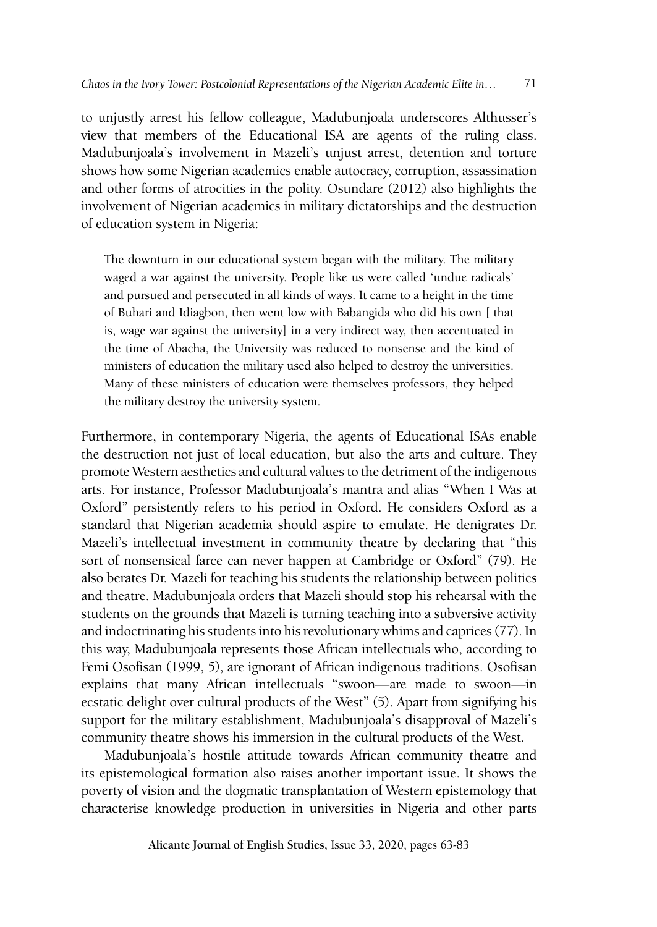to unjustly arrest his fellow colleague, Madubunjoala underscores Althusser's view that members of the Educational ISA are agents of the ruling class. Madubunjoala's involvement in Mazeli's unjust arrest, detention and torture shows how some Nigerian academics enable autocracy, corruption, assassination and other forms of atrocities in the polity. Osundare (2012) also highlights the involvement of Nigerian academics in military dictatorships and the destruction of education system in Nigeria:

The downturn in our educational system began with the military. The military waged a war against the university. People like us were called 'undue radicals' and pursued and persecuted in all kinds of ways. It came to a height in the time of Buhari and Idiagbon, then went low with Babangida who did his own [ that is, wage war against the university] in a very indirect way, then accentuated in the time of Abacha, the University was reduced to nonsense and the kind of ministers of education the military used also helped to destroy the universities. Many of these ministers of education were themselves professors, they helped the military destroy the university system.

Furthermore, in contemporary Nigeria, the agents of Educational ISAs enable the destruction not just of local education, but also the arts and culture. They promote Western aesthetics and cultural values to the detriment of the indigenous arts. For instance, Professor Madubunjoala's mantra and alias "When I Was at Oxford" persistently refers to his period in Oxford. He considers Oxford as a standard that Nigerian academia should aspire to emulate. He denigrates Dr. Mazeli's intellectual investment in community theatre by declaring that "this sort of nonsensical farce can never happen at Cambridge or Oxford" (79). He also berates Dr. Mazeli for teaching his students the relationship between politics and theatre. Madubunjoala orders that Mazeli should stop his rehearsal with the students on the grounds that Mazeli is turning teaching into a subversive activity and indoctrinating his students into his revolutionary whims and caprices (77). In this way, Madubunjoala represents those African intellectuals who, according to Femi Osofisan (1999, 5), are ignorant of African indigenous traditions. Osofisan explains that many African intellectuals "swoon—are made to swoon—in ecstatic delight over cultural products of the West" (5). Apart from signifying his support for the military establishment, Madubunjoala's disapproval of Mazeli's community theatre shows his immersion in the cultural products of the West.

Madubunjoala's hostile attitude towards African community theatre and its epistemological formation also raises another important issue. It shows the poverty of vision and the dogmatic transplantation of Western epistemology that characterise knowledge production in universities in Nigeria and other parts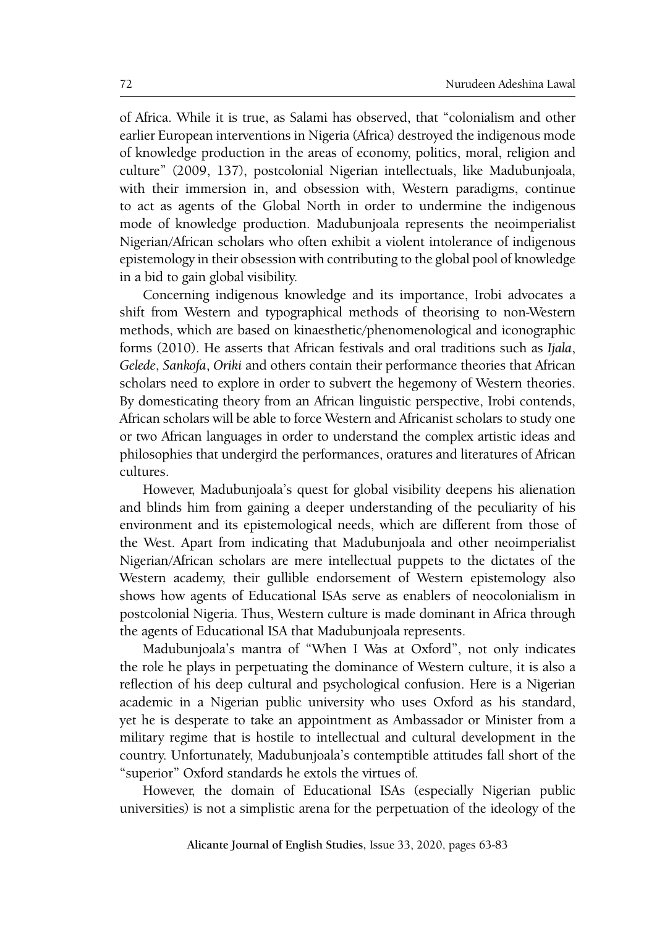of Africa. While it is true, as Salami has observed, that "colonialism and other earlier European interventions in Nigeria (Africa) destroyed the indigenous mode of knowledge production in the areas of economy, politics, moral, religion and culture" (2009, 137), postcolonial Nigerian intellectuals, like Madubunjoala, with their immersion in, and obsession with, Western paradigms, continue to act as agents of the Global North in order to undermine the indigenous mode of knowledge production. Madubunjoala represents the neoimperialist Nigerian/African scholars who often exhibit a violent intolerance of indigenous epistemology in their obsession with contributing to the global pool of knowledge in a bid to gain global visibility.

Concerning indigenous knowledge and its importance, Irobi advocates a shift from Western and typographical methods of theorising to non-Western methods, which are based on kinaesthetic/phenomenological and iconographic forms (2010). He asserts that African festivals and oral traditions such as *Ijala*, *Gelede*, *Sankofa*, *Oriki* and others contain their performance theories that African scholars need to explore in order to subvert the hegemony of Western theories. By domesticating theory from an African linguistic perspective, Irobi contends, African scholars will be able to force Western and Africanist scholars to study one or two African languages in order to understand the complex artistic ideas and philosophies that undergird the performances, oratures and literatures of African cultures.

However, Madubunjoala's quest for global visibility deepens his alienation and blinds him from gaining a deeper understanding of the peculiarity of his environment and its epistemological needs, which are different from those of the West. Apart from indicating that Madubunjoala and other neoimperialist Nigerian/African scholars are mere intellectual puppets to the dictates of the Western academy, their gullible endorsement of Western epistemology also shows how agents of Educational ISAs serve as enablers of neocolonialism in postcolonial Nigeria. Thus, Western culture is made dominant in Africa through the agents of Educational ISA that Madubunjoala represents.

Madubunjoala's mantra of "When I Was at Oxford", not only indicates the role he plays in perpetuating the dominance of Western culture, it is also a reflection of his deep cultural and psychological confusion. Here is a Nigerian academic in a Nigerian public university who uses Oxford as his standard, yet he is desperate to take an appointment as Ambassador or Minister from a military regime that is hostile to intellectual and cultural development in the country. Unfortunately, Madubunjoala's contemptible attitudes fall short of the "superior" Oxford standards he extols the virtues of.

However, the domain of Educational ISAs (especially Nigerian public universities) is not a simplistic arena for the perpetuation of the ideology of the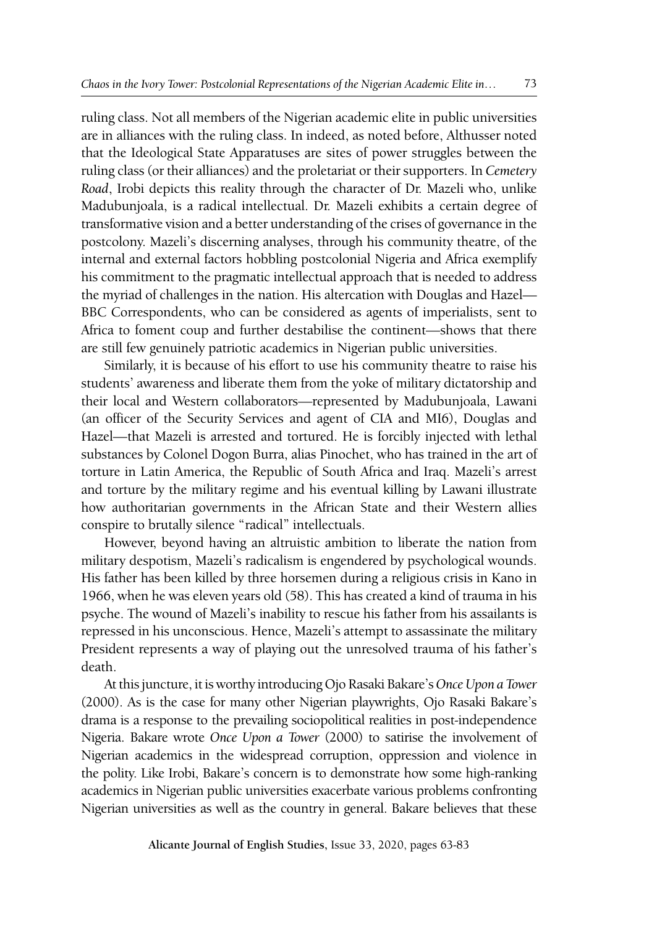ruling class. Not all members of the Nigerian academic elite in public universities are in alliances with the ruling class. In indeed, as noted before, Althusser noted that the Ideological State Apparatuses are sites of power struggles between the ruling class (or their alliances) and the proletariat or their supporters. In *Cemetery Road*, Irobi depicts this reality through the character of Dr. Mazeli who, unlike Madubunjoala, is a radical intellectual. Dr. Mazeli exhibits a certain degree of transformative vision and a better understanding of the crises of governance in the postcolony. Mazeli's discerning analyses, through his community theatre, of the internal and external factors hobbling postcolonial Nigeria and Africa exemplify his commitment to the pragmatic intellectual approach that is needed to address the myriad of challenges in the nation. His altercation with Douglas and Hazel— BBC Correspondents, who can be considered as agents of imperialists, sent to Africa to foment coup and further destabilise the continent—shows that there are still few genuinely patriotic academics in Nigerian public universities.

Similarly, it is because of his effort to use his community theatre to raise his students' awareness and liberate them from the yoke of military dictatorship and their local and Western collaborators—represented by Madubunjoala, Lawani (an officer of the Security Services and agent of CIA and MI6), Douglas and Hazel—that Mazeli is arrested and tortured. He is forcibly injected with lethal substances by Colonel Dogon Burra, alias Pinochet, who has trained in the art of torture in Latin America, the Republic of South Africa and Iraq. Mazeli's arrest and torture by the military regime and his eventual killing by Lawani illustrate how authoritarian governments in the African State and their Western allies conspire to brutally silence "radical" intellectuals.

However, beyond having an altruistic ambition to liberate the nation from military despotism, Mazeli's radicalism is engendered by psychological wounds. His father has been killed by three horsemen during a religious crisis in Kano in 1966, when he was eleven years old (58). This has created a kind of trauma in his psyche. The wound of Mazeli's inability to rescue his father from his assailants is repressed in his unconscious. Hence, Mazeli's attempt to assassinate the military President represents a way of playing out the unresolved trauma of his father's death.

At this juncture, it is worthy introducing Ojo Rasaki Bakare's *Once Upon a Tower* (2000). As is the case for many other Nigerian playwrights, Ojo Rasaki Bakare's drama is a response to the prevailing sociopolitical realities in post-independence Nigeria. Bakare wrote *Once Upon a Tower* (2000) to satirise the involvement of Nigerian academics in the widespread corruption, oppression and violence in the polity. Like Irobi, Bakare's concern is to demonstrate how some high-ranking academics in Nigerian public universities exacerbate various problems confronting Nigerian universities as well as the country in general. Bakare believes that these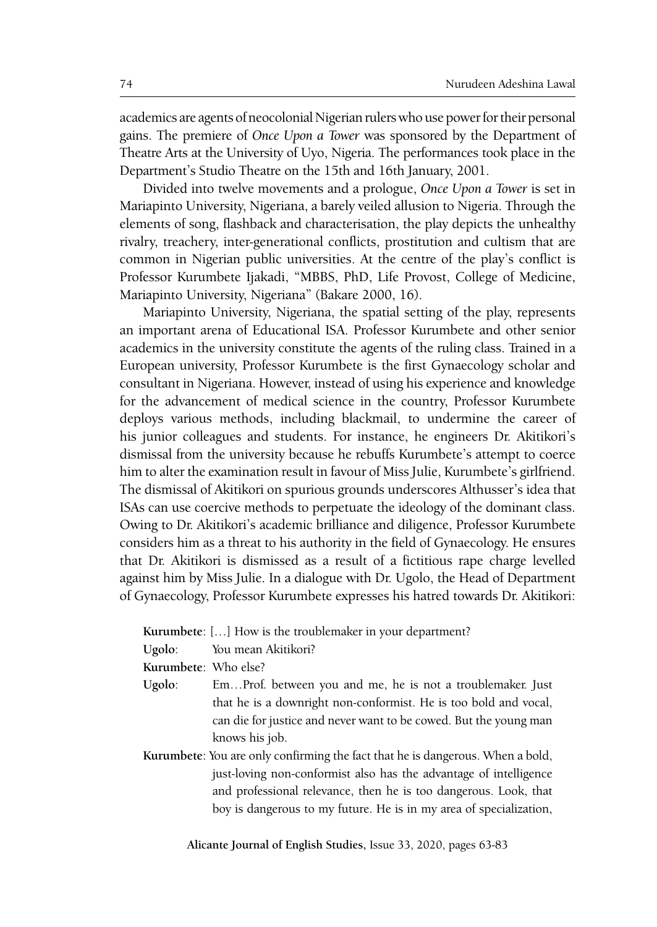academics are agents of neocolonial Nigerian rulers who use power for their personal gains. The premiere of *Once Upon a Tower* was sponsored by the Department of Theatre Arts at the University of Uyo, Nigeria. The performances took place in the Department's Studio Theatre on the 15th and 16th January, 2001.

Divided into twelve movements and a prologue, *Once Upon a Tower* is set in Mariapinto University, Nigeriana, a barely veiled allusion to Nigeria. Through the elements of song, flashback and characterisation, the play depicts the unhealthy rivalry, treachery, inter-generational conflicts, prostitution and cultism that are common in Nigerian public universities. At the centre of the play's conflict is Professor Kurumbete Ijakadi, "MBBS, PhD, Life Provost, College of Medicine, Mariapinto University, Nigeriana" (Bakare 2000, 16).

Mariapinto University, Nigeriana, the spatial setting of the play, represents an important arena of Educational ISA. Professor Kurumbete and other senior academics in the university constitute the agents of the ruling class. Trained in a European university, Professor Kurumbete is the first Gynaecology scholar and consultant in Nigeriana. However, instead of using his experience and knowledge for the advancement of medical science in the country, Professor Kurumbete deploys various methods, including blackmail, to undermine the career of his junior colleagues and students. For instance, he engineers Dr. Akitikori's dismissal from the university because he rebuffs Kurumbete's attempt to coerce him to alter the examination result in favour of Miss Julie, Kurumbete's girlfriend. The dismissal of Akitikori on spurious grounds underscores Althusser's idea that ISAs can use coercive methods to perpetuate the ideology of the dominant class. Owing to Dr. Akitikori's academic brilliance and diligence, Professor Kurumbete considers him as a threat to his authority in the field of Gynaecology. He ensures that Dr. Akitikori is dismissed as a result of a fictitious rape charge levelled against him by Miss Julie. In a dialogue with Dr. Ugolo, the Head of Department of Gynaecology, Professor Kurumbete expresses his hatred towards Dr. Akitikori:

**Kurumbete**: […] How is the troublemaker in your department?

**Ugolo**: You mean Akitikori?

**Kurumbete**: Who else?

- **Ugolo**: Em…Prof. between you and me, he is not a troublemaker. Just that he is a downright non-conformist. He is too bold and vocal, can die for justice and never want to be cowed. But the young man knows his job.
- **Kurumbete**: You are only confirming the fact that he is dangerous. When a bold, just-loving non-conformist also has the advantage of intelligence and professional relevance, then he is too dangerous. Look, that boy is dangerous to my future. He is in my area of specialization,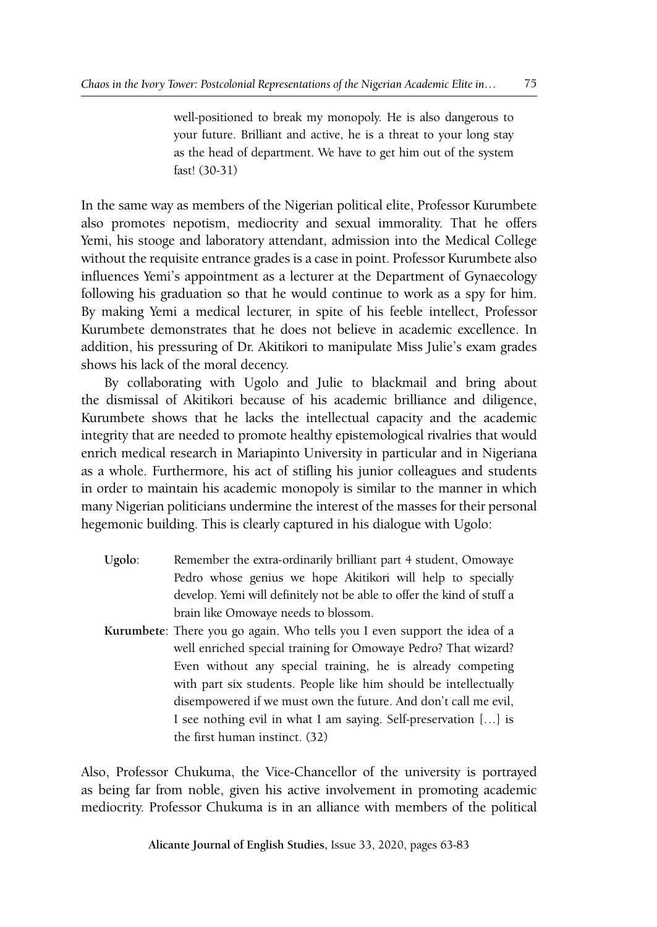well-positioned to break my monopoly. He is also dangerous to your future. Brilliant and active, he is a threat to your long stay as the head of department. We have to get him out of the system fast! (30-31)

In the same way as members of the Nigerian political elite, Professor Kurumbete also promotes nepotism, mediocrity and sexual immorality. That he offers Yemi, his stooge and laboratory attendant, admission into the Medical College without the requisite entrance grades is a case in point. Professor Kurumbete also influences Yemi's appointment as a lecturer at the Department of Gynaecology following his graduation so that he would continue to work as a spy for him. By making Yemi a medical lecturer, in spite of his feeble intellect, Professor Kurumbete demonstrates that he does not believe in academic excellence. In addition, his pressuring of Dr. Akitikori to manipulate Miss Julie's exam grades shows his lack of the moral decency.

By collaborating with Ugolo and Julie to blackmail and bring about the dismissal of Akitikori because of his academic brilliance and diligence, Kurumbete shows that he lacks the intellectual capacity and the academic integrity that are needed to promote healthy epistemological rivalries that would enrich medical research in Mariapinto University in particular and in Nigeriana as a whole. Furthermore, his act of stifling his junior colleagues and students in order to maintain his academic monopoly is similar to the manner in which many Nigerian politicians undermine the interest of the masses for their personal hegemonic building. This is clearly captured in his dialogue with Ugolo:

- **Ugolo**: Remember the extra-ordinarily brilliant part 4 student, Omowaye Pedro whose genius we hope Akitikori will help to specially develop. Yemi will definitely not be able to offer the kind of stuff a brain like Omowaye needs to blossom.
- **Kurumbete**: There you go again. Who tells you I even support the idea of a well enriched special training for Omowaye Pedro? That wizard? Even without any special training, he is already competing with part six students. People like him should be intellectually disempowered if we must own the future. And don't call me evil, I see nothing evil in what I am saying. Self-preservation […] is the first human instinct. (32)

Also, Professor Chukuma, the Vice-Chancellor of the university is portrayed as being far from noble, given his active involvement in promoting academic mediocrity. Professor Chukuma is in an alliance with members of the political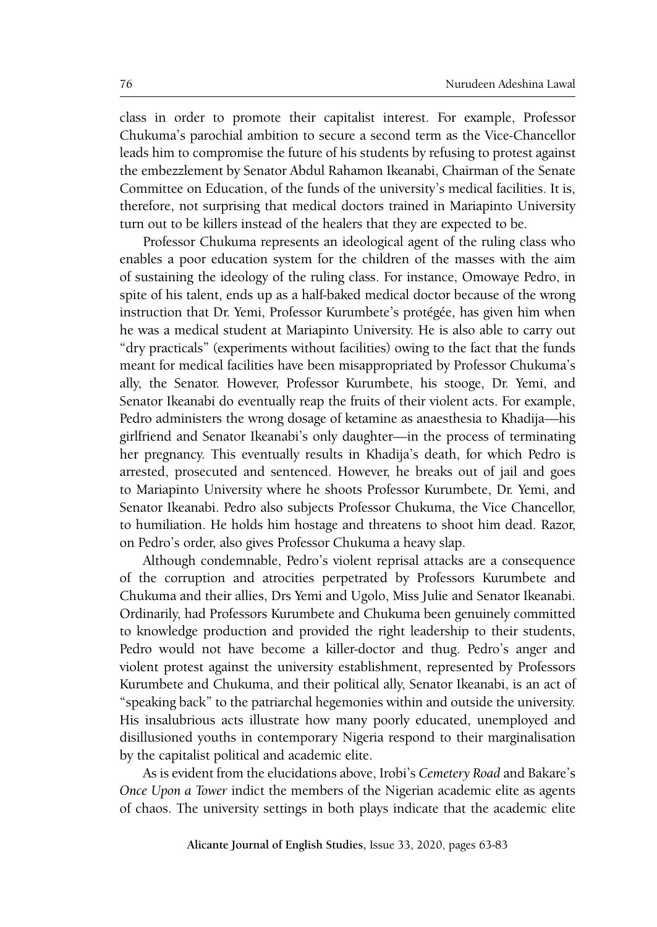class in order to promote their capitalist interest. For example, Professor Chukuma's parochial ambition to secure a second term as the Vice-Chancellor leads him to compromise the future of his students by refusing to protest against the embezzlement by Senator Abdul Rahamon Ikeanabi, Chairman of the Senate Committee on Education, of the funds of the university's medical facilities. It is, therefore, not surprising that medical doctors trained in Mariapinto University turn out to be killers instead of the healers that they are expected to be.

Professor Chukuma represents an ideological agent of the ruling class who enables a poor education system for the children of the masses with the aim of sustaining the ideology of the ruling class. For instance, Omowaye Pedro, in spite of his talent, ends up as a half-baked medical doctor because of the wrong instruction that Dr. Yemi, Professor Kurumbete's protégée, has given him when he was a medical student at Mariapinto University. He is also able to carry out "dry practicals" (experiments without facilities) owing to the fact that the funds meant for medical facilities have been misappropriated by Professor Chukuma's ally, the Senator. However, Professor Kurumbete, his stooge, Dr. Yemi, and Senator Ikeanabi do eventually reap the fruits of their violent acts. For example, Pedro administers the wrong dosage of ketamine as anaesthesia to Khadija—his girlfriend and Senator Ikeanabi's only daughter—in the process of terminating her pregnancy. This eventually results in Khadija's death, for which Pedro is arrested, prosecuted and sentenced. However, he breaks out of jail and goes to Mariapinto University where he shoots Professor Kurumbete, Dr. Yemi, and Senator Ikeanabi. Pedro also subjects Professor Chukuma, the Vice Chancellor, to humiliation. He holds him hostage and threatens to shoot him dead. Razor, on Pedro's order, also gives Professor Chukuma a heavy slap.

Although condemnable, Pedro's violent reprisal attacks are a consequence of the corruption and atrocities perpetrated by Professors Kurumbete and Chukuma and their allies, Drs Yemi and Ugolo, Miss Julie and Senator Ikeanabi. Ordinarily, had Professors Kurumbete and Chukuma been genuinely committed to knowledge production and provided the right leadership to their students, Pedro would not have become a killer-doctor and thug. Pedro's anger and violent protest against the university establishment, represented by Professors Kurumbete and Chukuma, and their political ally, Senator Ikeanabi, is an act of "speaking back" to the patriarchal hegemonies within and outside the university. His insalubrious acts illustrate how many poorly educated, unemployed and disillusioned youths in contemporary Nigeria respond to their marginalisation by the capitalist political and academic elite.

As is evident from the elucidations above, Irobi's *Cemetery Road* and Bakare's *Once Upon a Tower* indict the members of the Nigerian academic elite as agents of chaos. The university settings in both plays indicate that the academic elite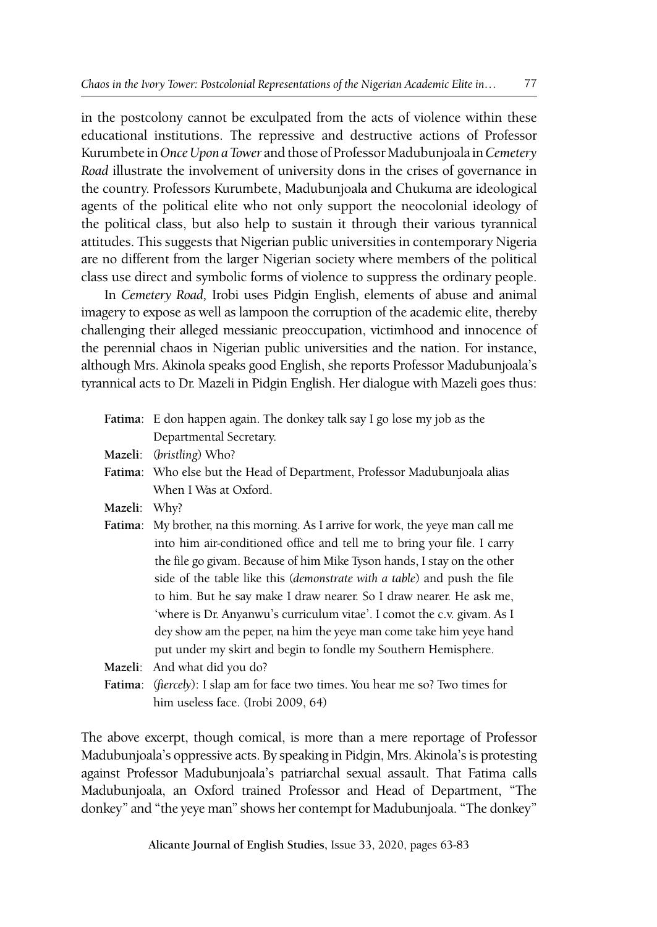in the postcolony cannot be exculpated from the acts of violence within these educational institutions. The repressive and destructive actions of Professor Kurumbete in *Once Upon a Tower* and those of Professor Madubunjoala in *Cemetery Road* illustrate the involvement of university dons in the crises of governance in the country. Professors Kurumbete, Madubunjoala and Chukuma are ideological agents of the political elite who not only support the neocolonial ideology of the political class, but also help to sustain it through their various tyrannical attitudes. This suggests that Nigerian public universities in contemporary Nigeria are no different from the larger Nigerian society where members of the political class use direct and symbolic forms of violence to suppress the ordinary people.

In *Cemetery Road,* Irobi uses Pidgin English, elements of abuse and animal imagery to expose as well as lampoon the corruption of the academic elite, thereby challenging their alleged messianic preoccupation, victimhood and innocence of the perennial chaos in Nigerian public universities and the nation. For instance, although Mrs. Akinola speaks good English, she reports Professor Madubunjoala's tyrannical acts to Dr. Mazeli in Pidgin English. Her dialogue with Mazeli goes thus:

|              | Fatima: E don happen again. The donkey talk say I go lose my job as the         |
|--------------|---------------------------------------------------------------------------------|
|              | Departmental Secretary.                                                         |
|              | Mazeli: (bristling) Who?                                                        |
|              | Fatima: Who else but the Head of Department, Professor Madubunjoala alias       |
|              | When I Was at Oxford.                                                           |
| Mazeli: Why? |                                                                                 |
|              | Fatima: My brother, na this morning. As I arrive for work, the yeye man call me |
|              | into him air-conditioned office and tell me to bring your file. I carry         |
|              | the file go givam. Because of him Mike Tyson hands, I stay on the other         |
|              | side of the table like this (demonstrate with a table) and push the file        |
|              | to him. But he say make I draw nearer. So I draw nearer. He ask me,             |
|              | 'where is Dr. Anyanwu's curriculum vitae'. I comot the c.v. givam. As I         |
|              | dey show am the peper, na him the yeye man come take him yeye hand              |
|              | put under my skirt and begin to fondle my Southern Hemisphere.                  |

**Mazeli**: And what did you do?

**Fatima**: (*fiercely*): I slap am for face two times. You hear me so? Two times for him useless face. (Irobi 2009, 64)

The above excerpt, though comical, is more than a mere reportage of Professor Madubunjoala's oppressive acts. By speaking in Pidgin, Mrs. Akinola's is protesting against Professor Madubunjoala's patriarchal sexual assault. That Fatima calls Madubunjoala, an Oxford trained Professor and Head of Department, "The donkey" and "the yeye man" shows her contempt for Madubunjoala. "The donkey"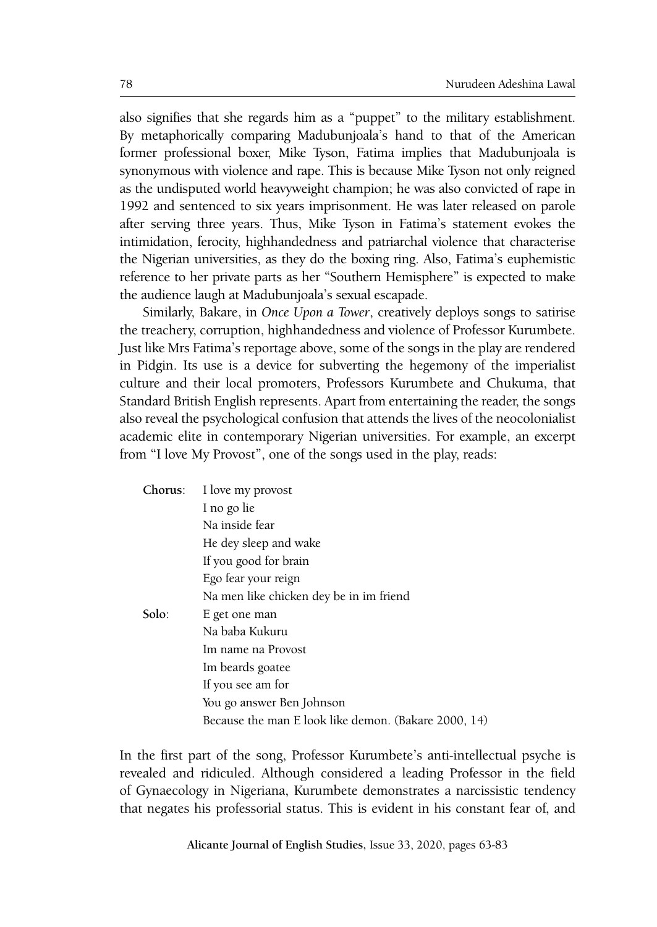also signifies that she regards him as a "puppet" to the military establishment. By metaphorically comparing Madubunjoala's hand to that of the American former professional boxer, Mike Tyson, Fatima implies that Madubunjoala is synonymous with violence and rape. This is because Mike Tyson not only reigned as the undisputed world heavyweight champion; he was also convicted of rape in 1992 and sentenced to six years imprisonment. He was later released on parole after serving three years. Thus, Mike Tyson in Fatima's statement evokes the intimidation, ferocity, highhandedness and patriarchal violence that characterise the Nigerian universities, as they do the boxing ring. Also, Fatima's euphemistic reference to her private parts as her "Southern Hemisphere" is expected to make the audience laugh at Madubunjoala's sexual escapade.

Similarly, Bakare, in *Once Upon a Tower*, creatively deploys songs to satirise the treachery, corruption, highhandedness and violence of Professor Kurumbete. Just like Mrs Fatima's reportage above, some of the songs in the play are rendered in Pidgin. Its use is a device for subverting the hegemony of the imperialist culture and their local promoters, Professors Kurumbete and Chukuma, that Standard British English represents. Apart from entertaining the reader, the songs also reveal the psychological confusion that attends the lives of the neocolonialist academic elite in contemporary Nigerian universities. For example, an excerpt from "I love My Provost", one of the songs used in the play, reads:

| Chorus: | I love my provost                                    |
|---------|------------------------------------------------------|
|         | I no go lie                                          |
|         | Na inside fear                                       |
|         | He dey sleep and wake                                |
|         | If you good for brain                                |
|         | Ego fear your reign                                  |
|         | Na men like chicken dey be in im friend              |
| Solo:   | E get one man                                        |
|         | Na baba Kukuru                                       |
|         | Im name na Provost                                   |
|         | Im beards goatee                                     |
|         | If you see am for                                    |
|         | You go answer Ben Johnson                            |
|         | Because the man E look like demon. (Bakare 2000, 14) |

In the first part of the song, Professor Kurumbete's anti-intellectual psyche is revealed and ridiculed. Although considered a leading Professor in the field of Gynaecology in Nigeriana, Kurumbete demonstrates a narcissistic tendency that negates his professorial status. This is evident in his constant fear of, and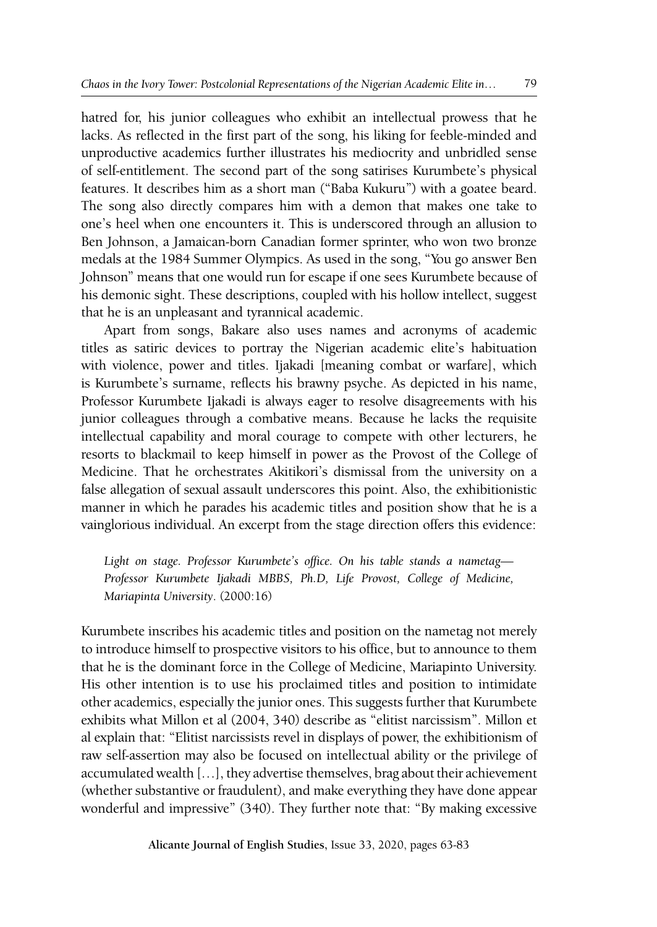hatred for, his junior colleagues who exhibit an intellectual prowess that he lacks. As reflected in the first part of the song, his liking for feeble-minded and unproductive academics further illustrates his mediocrity and unbridled sense of self-entitlement. The second part of the song satirises Kurumbete's physical features. It describes him as a short man ("Baba Kukuru") with a goatee beard. The song also directly compares him with a demon that makes one take to one's heel when one encounters it. This is underscored through an allusion to Ben Johnson, a Jamaican-born Canadian former sprinter, who won two bronze medals at the 1984 Summer Olympics. As used in the song, "You go answer Ben Johnson" means that one would run for escape if one sees Kurumbete because of his demonic sight. These descriptions, coupled with his hollow intellect, suggest that he is an unpleasant and tyrannical academic.

Apart from songs, Bakare also uses names and acronyms of academic titles as satiric devices to portray the Nigerian academic elite's habituation with violence, power and titles. Ijakadi [meaning combat or warfare], which is Kurumbete's surname, reflects his brawny psyche. As depicted in his name, Professor Kurumbete Ijakadi is always eager to resolve disagreements with his junior colleagues through a combative means. Because he lacks the requisite intellectual capability and moral courage to compete with other lecturers, he resorts to blackmail to keep himself in power as the Provost of the College of Medicine. That he orchestrates Akitikori's dismissal from the university on a false allegation of sexual assault underscores this point. Also, the exhibitionistic manner in which he parades his academic titles and position show that he is a vainglorious individual. An excerpt from the stage direction offers this evidence:

*Light on stage. Professor Kurumbete's office. On his table stands a nametag— Professor Kurumbete Ijakadi MBBS, Ph.D, Life Provost, College of Medicine, Mariapinta University*. (2000:16)

Kurumbete inscribes his academic titles and position on the nametag not merely to introduce himself to prospective visitors to his office, but to announce to them that he is the dominant force in the College of Medicine, Mariapinto University. His other intention is to use his proclaimed titles and position to intimidate other academics, especially the junior ones. This suggests further that Kurumbete exhibits what Millon et al (2004, 340) describe as "elitist narcissism". Millon et al explain that: "Elitist narcissists revel in displays of power, the exhibitionism of raw self-assertion may also be focused on intellectual ability or the privilege of accumulated wealth […], they advertise themselves, brag about their achievement (whether substantive or fraudulent), and make everything they have done appear wonderful and impressive" (340). They further note that: "By making excessive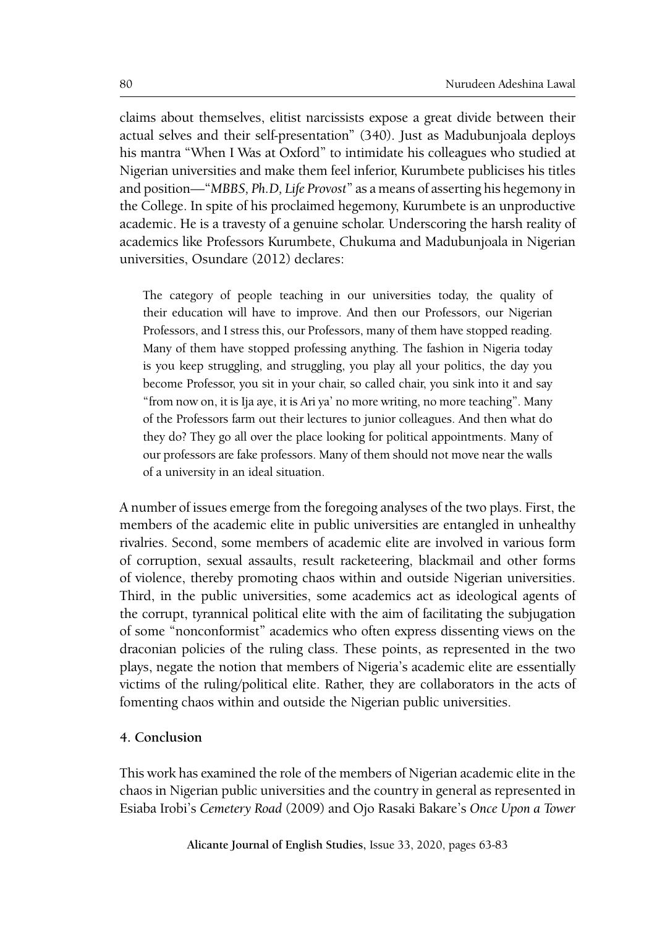claims about themselves, elitist narcissists expose a great divide between their actual selves and their self-presentation" (340). Just as Madubunjoala deploys his mantra "When I Was at Oxford" to intimidate his colleagues who studied at Nigerian universities and make them feel inferior, Kurumbete publicises his titles and position—"*MBBS, Ph.D, Life Provost*" as a means of asserting his hegemony in the College. In spite of his proclaimed hegemony, Kurumbete is an unproductive academic. He is a travesty of a genuine scholar. Underscoring the harsh reality of academics like Professors Kurumbete, Chukuma and Madubunjoala in Nigerian universities, Osundare (2012) declares:

The category of people teaching in our universities today, the quality of their education will have to improve. And then our Professors, our Nigerian Professors, and I stress this, our Professors, many of them have stopped reading. Many of them have stopped professing anything. The fashion in Nigeria today is you keep struggling, and struggling, you play all your politics, the day you become Professor, you sit in your chair, so called chair, you sink into it and say "from now on, it is Ija aye, it is Ari ya' no more writing, no more teaching". Many of the Professors farm out their lectures to junior colleagues. And then what do they do? They go all over the place looking for political appointments. Many of our professors are fake professors. Many of them should not move near the walls of a university in an ideal situation.

A number of issues emerge from the foregoing analyses of the two plays. First, the members of the academic elite in public universities are entangled in unhealthy rivalries. Second, some members of academic elite are involved in various form of corruption, sexual assaults, result racketeering, blackmail and other forms of violence, thereby promoting chaos within and outside Nigerian universities. Third, in the public universities, some academics act as ideological agents of the corrupt, tyrannical political elite with the aim of facilitating the subjugation of some "nonconformist" academics who often express dissenting views on the draconian policies of the ruling class. These points, as represented in the two plays, negate the notion that members of Nigeria's academic elite are essentially victims of the ruling/political elite. Rather, they are collaborators in the acts of fomenting chaos within and outside the Nigerian public universities.

#### **4. Conclusion**

This work has examined the role of the members of Nigerian academic elite in the chaos in Nigerian public universities and the country in general as represented in Esiaba Irobi's *Cemetery Road* (2009) and Ojo Rasaki Bakare's *Once Upon a Tower*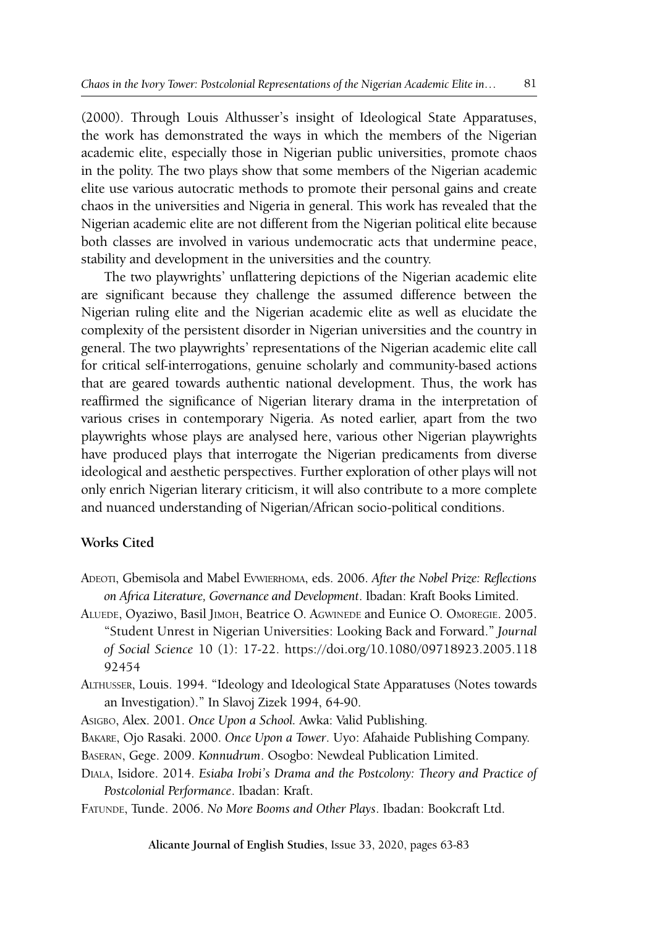(2000). Through Louis Althusser's insight of Ideological State Apparatuses, the work has demonstrated the ways in which the members of the Nigerian academic elite, especially those in Nigerian public universities, promote chaos in the polity. The two plays show that some members of the Nigerian academic elite use various autocratic methods to promote their personal gains and create chaos in the universities and Nigeria in general. This work has revealed that the Nigerian academic elite are not different from the Nigerian political elite because both classes are involved in various undemocratic acts that undermine peace, stability and development in the universities and the country.

The two playwrights' unflattering depictions of the Nigerian academic elite are significant because they challenge the assumed difference between the Nigerian ruling elite and the Nigerian academic elite as well as elucidate the complexity of the persistent disorder in Nigerian universities and the country in general. The two playwrights' representations of the Nigerian academic elite call for critical self-interrogations, genuine scholarly and community-based actions that are geared towards authentic national development. Thus, the work has reaffirmed the significance of Nigerian literary drama in the interpretation of various crises in contemporary Nigeria. As noted earlier, apart from the two playwrights whose plays are analysed here, various other Nigerian playwrights have produced plays that interrogate the Nigerian predicaments from diverse ideological and aesthetic perspectives. Further exploration of other plays will not only enrich Nigerian literary criticism, it will also contribute to a more complete and nuanced understanding of Nigerian/African socio-political conditions.

#### **Works Cited**

- Adeoti, Gbemisola and Mabel Evwierhoma, eds. 2006. *After the Nobel Prize: Reflections on Africa Literature, Governance and Development*. Ibadan: Kraft Books Limited.
- Aluede, Oyaziwo, Basil Jimoh, Beatrice O. Agwinede and Eunice O. Omoregie. 2005. "Student Unrest in Nigerian Universities: Looking Back and Forward." *Journal of Social Science* 10 (1): 17-22. https://doi.org/10.1080/09718923.2005.118 92454

Althusser, Louis. 1994. "Ideology and Ideological State Apparatuses (Notes towards an Investigation)." In Slavoj Zizek 1994, 64-90.

Asigbo, Alex. 2001. *Once Upon a School.* Awka: Valid Publishing.

Bakare, Ojo Rasaki. 2000. *Once Upon a Tower*. Uyo: Afahaide Publishing Company.

Baseran, Gege. 2009. *Konnudrum*. Osogbo: Newdeal Publication Limited.

Diala, Isidore. 2014. *Esiaba Irobi's Drama and the Postcolony: Theory and Practice of Postcolonial Performance*. Ibadan: Kraft.

Fatunde, Tunde. 2006. *No More Booms and Other Plays*. Ibadan: Bookcraft Ltd.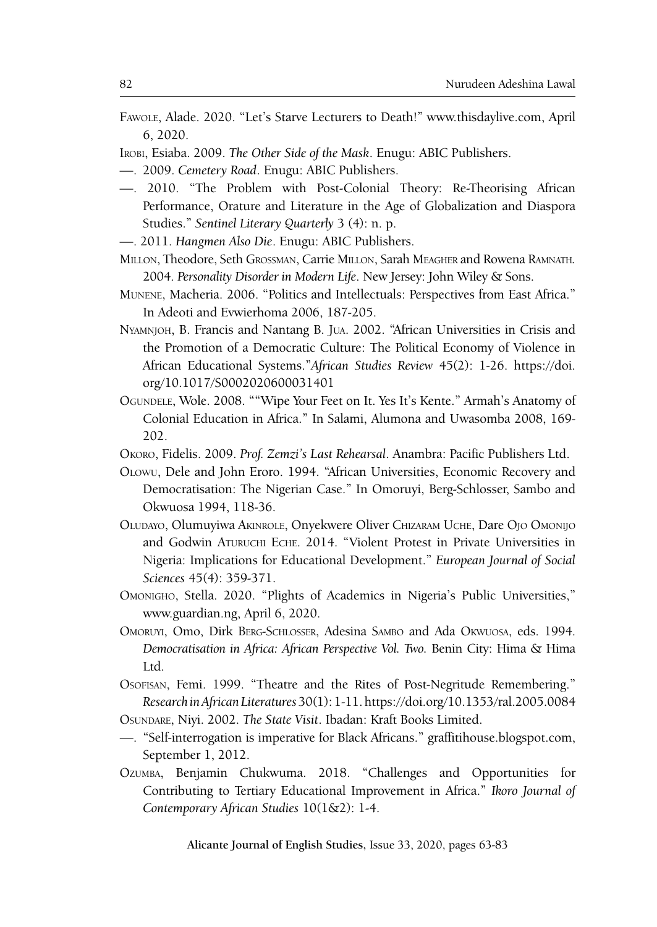- Fawole, Alade. 2020. "Let's Starve Lecturers to Death!" www.thisdaylive.com, April 6, 2020.
- Irobi, Esiaba. 2009. *The Other Side of the Mask*. Enugu: ABIC Publishers.
- —. 2009. *Cemetery Road*. Enugu: ABIC Publishers.
- —. 2010. "The Problem with Post-Colonial Theory: Re-Theorising African Performance, Orature and Literature in the Age of Globalization and Diaspora Studies." *Sentinel Literary Quarterly* 3 (4): n. p.
- —. 2011. *Hangmen Also Die*. Enugu: ABIC Publishers.
- Millon, Theodore, Seth Grossman, Carrie Millon, Sarah Meagher and Rowena Ramnath*.* 2004. *Personality Disorder in Modern Life*. New Jersey: John Wiley & Sons.
- Munene, Macheria. 2006. "Politics and Intellectuals: Perspectives from East Africa." In Adeoti and Evwierhoma 2006, 187-205.
- Nyamnjoh, B. Francis and Nantang B. Jua. 2002. "African Universities in Crisis and the Promotion of a Democratic Culture: The Political Economy of Violence in African Educational Systems."*African Studies Review* 45(2): 1-26. https://doi. org/10.1017/S0002020600031401
- Ogundele, Wole. 2008. ""Wipe Your Feet on It. Yes It's Kente." Armah's Anatomy of Colonial Education in Africa." In Salami, Alumona and Uwasomba 2008, 169- 202.
- Okoro, Fidelis. 2009. *Prof. Zemzi's Last Rehearsal*. Anambra: Pacific Publishers Ltd.
- Olowu, Dele and John Eroro. 1994. "African Universities, Economic Recovery and Democratisation: The Nigerian Case." In Omoruyi, Berg-Schlosser, Sambo and Okwuosa 1994, 118-36.
- Oludayo, Olumuyiwa Akinrole, Onyekwere Oliver Chizaram Uche, Dare Ojo Omonijo and Godwin Aturuchi Eche. 2014. "Violent Protest in Private Universities in Nigeria: Implications for Educational Development." *European Journal of Social Sciences* 45(4): 359-371.
- Omonigho, Stella. 2020. "Plights of Academics in Nigeria's Public Universities," [www.guardian.ng](http://www.guardian.ng), April 6, 2020.
- Omoruyi, Omo, Dirk Berg-Schlosser, Adesina Sambo and Ada Okwuosa, eds. 1994. *Democratisation in Africa: African Perspective Vol. Two.* Benin City: Hima & Hima Ltd.
- Osofisan, Femi. 1999. "Theatre and the Rites of Post-Negritude Remembering." *Research in African Literatures* 30(1): 1-11. https://doi.org/10.1353/ral.2005.0084
- Osundare, Niyi. 2002. *The State Visit*. Ibadan: Kraft Books Limited.
- —. "Self-interrogation is imperative for Black Africans." graffitihouse.blogspot.com, September 1, 2012.
- Ozumba, Benjamin Chukwuma. 2018. "Challenges and Opportunities for Contributing to Tertiary Educational Improvement in Africa." *Ikoro Journal of Contemporary African Studies* 10(1&2): 1-4.